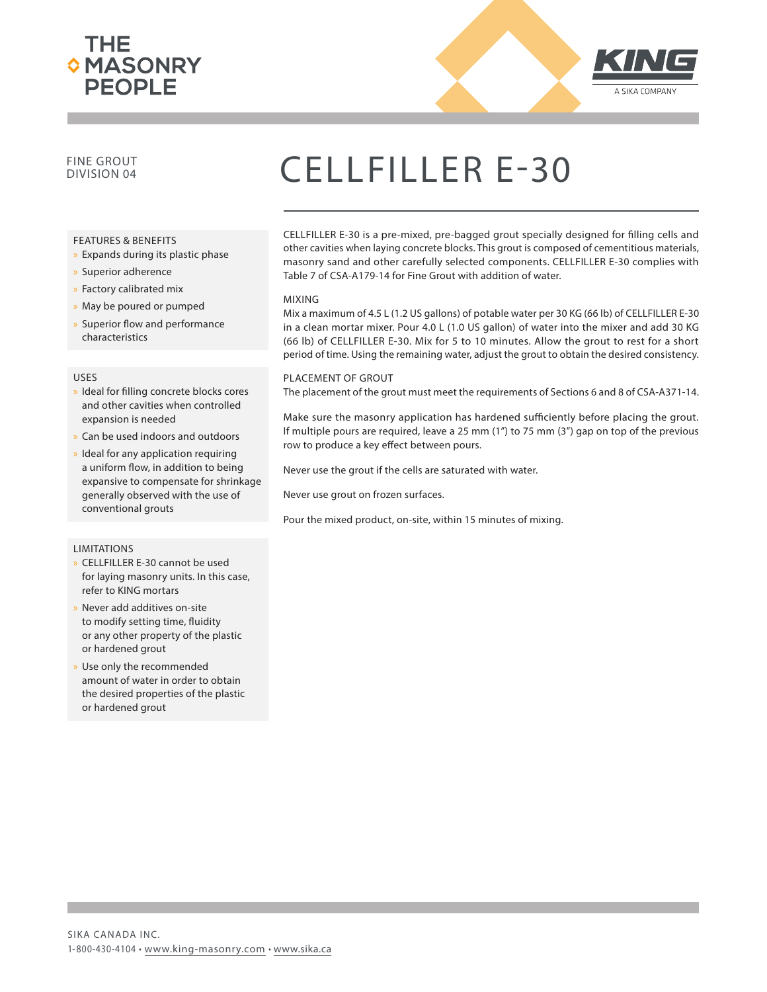



### FINE GROUT

#### FEATURES & BENEFITS

- » Expands during its plastic phase
- x Superior adherence
- x Factory calibrated mix
- » May be poured or pumped
- » Superior flow and performance characteristics

#### USES

- » Ideal for filling concrete blocks cores and other cavities when controlled expansion is needed
- Can be used indoors and outdoors
- Ideal for any application requiring a uniform flow, in addition to being expansive to compensate for shrinkage generally observed with the use of conventional grouts

#### LIMITATIONS

- » CELLFILLER E-30 cannot be used for laying masonry units. In this case, refer to KING mortars
- Never add additives on-site to modify setting time, fluidity or any other property of the plastic or hardened grout
- Use only the recommended amount of water in order to obtain the desired properties of the plastic or hardened grout

## CELLFILLER E-30

CELLFILLER E-30 is a pre-mixed, pre-bagged grout specially designed for filling cells and other cavities when laying concrete blocks. This grout is composed of cementitious materials, masonry sand and other carefully selected components. CELLFILLER E-30 complies with Table 7 of CSA-A179-14 for Fine Grout with addition of water.

#### MIXING

Mix a maximum of 4.5 L (1.2 US gallons) of potable water per 30 KG (66 lb) of CELLFILLER E-30 in a clean mortar mixer. Pour 4.0 L (1.0 US gallon) of water into the mixer and add 30 KG (66 lb) of CELLFILLER E-30. Mix for 5 to 10 minutes. Allow the grout to rest for a short period of time. Using the remaining water, adjust the grout to obtain the desired consistency.

#### PLACEMENT OF GROUT

The placement of the grout must meet the requirements of Sections 6 and 8 of CSA-A371-14.

Make sure the masonry application has hardened sufficiently before placing the grout. If multiple pours are required, leave a 25 mm (1") to 75 mm (3") gap on top of the previous row to produce a key effect between pours.

Never use the grout if the cells are saturated with water.

Never use grout on frozen surfaces.

Pour the mixed product, on-site, within 15 minutes of mixing.